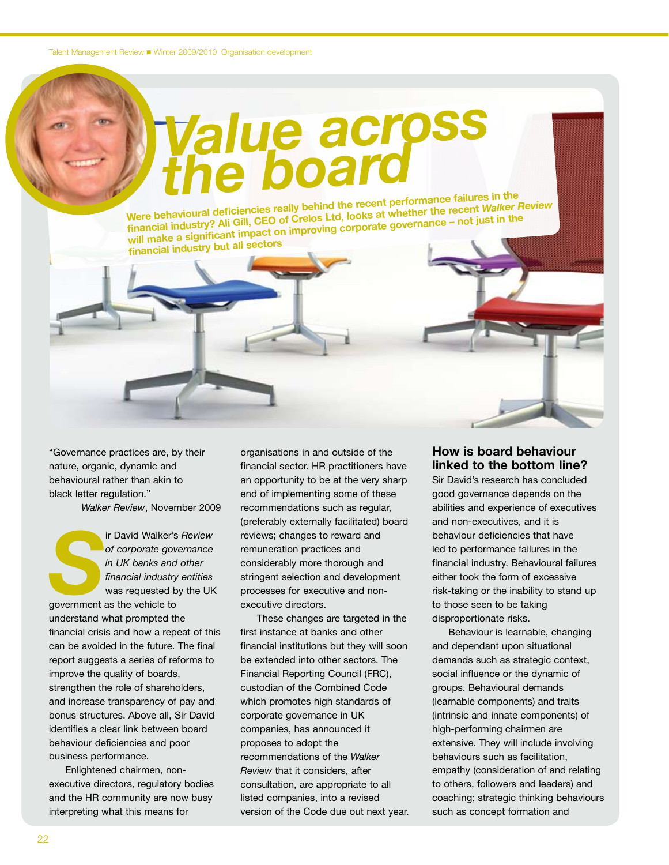Talent Management Review Winter 2009/2010 Organisation development

## *Value across the board*

**Were behavioural deficiencies really behind the recent performance failures in the financial industry? Ali Gill, CEO of Crelos Ltd, looks at whether the recent** *Walker Review* **will make a significant impact on improving corporate governance – not just in the financial industry but all sectors**

"Governance practices are, by their nature, organic, dynamic and behavioural rather than akin to black letter regulation."

*Walker Review*, November 2009

Fig. 2013<br>
Figure 11 DK banks and other<br> *Sinancial industry entities*<br>
was requested by the UK<br>
government as the vehicle to *of corporate governance in UK banks and other financial industry entities* was requested by the UK government as the vehicle to understand what prompted the financial crisis and how a repeat of this can be avoided in the future. The final report suggests a series of reforms to improve the quality of boards, strengthen the role of shareholders, and increase transparency of pay and bonus structures. Above all, Sir David identifies a clear link between board behaviour deficiencies and poor business performance.

Enlightened chairmen, nonexecutive directors, regulatory bodies and the HR community are now busy interpreting what this means for

organisations in and outside of the financial sector. HR practitioners have an opportunity to be at the very sharp end of implementing some of these recommendations such as regular, (preferably externally facilitated) board reviews; changes to reward and remuneration practices and considerably more thorough and stringent selection and development processes for executive and nonexecutive directors.

These changes are targeted in the first instance at banks and other financial institutions but they will soon be extended into other sectors. The Financial Reporting Council (FRC), custodian of the Combined Code which promotes high standards of corporate governance in UK companies, has announced it proposes to adopt the recommendations of the *Walker Review* that it considers, after consultation, are appropriate to all listed companies, into a revised version of the Code due out next year.

## **How is board behaviour linked to the bottom line?**

Sir David's research has concluded good governance depends on the abilities and experience of executives and non-executives, and it is behaviour deficiencies that have led to performance failures in the financial industry. Behavioural failures either took the form of excessive risk-taking or the inability to stand up to those seen to be taking disproportionate risks.

Behaviour is learnable, changing and dependant upon situational demands such as strategic context, social influence or the dynamic of groups. Behavioural demands (learnable components) and traits (intrinsic and innate components) of high-performing chairmen are extensive. They will include involving behaviours such as facilitation, empathy (consideration of and relating to others, followers and leaders) and coaching; strategic thinking behaviours such as concept formation and